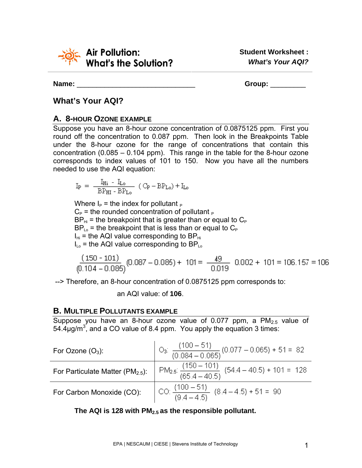

Name: **Name: Name: Name: Name: Constant Constant Constant Constant Constant Constant Constant Constant Constant Constant Constant Constant Constant Constant Constant Constant Constant Constant Constant Constant Con** 

# **What's Your AQI?**

## **A. 8-HOUR OZONE EXAMPLE**

Suppose you have an 8-hour ozone concentration of 0.0875125 ppm. First you round off the concentration to 0.087 ppm. Then look in the Breakpoints Table under the 8-hour ozone for the range of concentrations that contain this concentration  $(0.085 - 0.104$  ppm). This range in the table for the 8-hour ozone corresponds to index values of 101 to 150. Now you have all the numbers needed to use the AQI equation:

$$
I_P = \frac{I_{Hi} - I_{Lo}}{BP_{HI} - BP_{Lo}}
$$
 (C<sub>P</sub> - BP<sub>Lo</sub>) + I<sub>Lo</sub>

Where  $I_P$  = the index for pollutant  $_P$  $C_P$  = the rounded concentration of pollutant  $_P$  $BP_{Hi}$  = the breakpoint that is greater than or equal to  $C_P$  $BP_{10}$  = the breakpoint that is less than or equal to  $C_P$  $I_{Hi}$  = the AQI value corresponding to BP $_{Hi}$  $I_{\text{L0}}$  = the AQI value corresponding to BP<sub>Lo</sub>

$$
\frac{(150-101)}{(0.104-0.085)}(0.087-0.085)+101=\frac{49}{0.019}0.002+101=106.157=106
$$

--> Therefore, an 8-hour concentration of 0.0875125 ppm corresponds to:

an AQI value: of **106**.

## **B. MULTIPLE POLLUTANTS EXAMPLE**

Suppose you have an 8-hour ozone value of 0.077 ppm, a  $PM<sub>2.5</sub>$  value of  $54.4\mu$ g/m<sup>3</sup>, and a CO value of 8.4 ppm. You apply the equation 3 times:

| For Ozone $(O_3)$ :                          | O <sub>3</sub> : $\frac{(100-51)}{(0.084-0.065)}(0.077-0.065) + 51 = 82$      |
|----------------------------------------------|-------------------------------------------------------------------------------|
| For Particulate Matter (PM <sub>2.5</sub> ): | PM <sub>2.5</sub> : $\frac{(150-101)}{(65.4-40.5)}$ (54.4 - 40.5) + 101 = 128 |
| For Carbon Monoxide (CO):                    | CO: $\frac{(100-51)}{(9.4-4.5)}$ $(8.4-4.5) + 51 = 90$                        |

## **The AQI is 128 with PM2.5 as the responsible pollutant.**